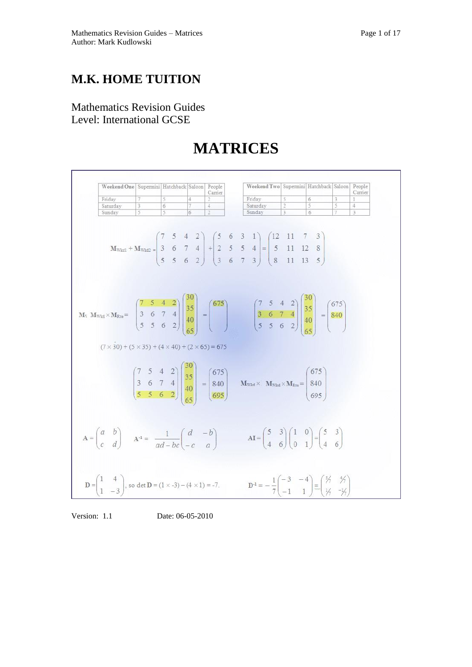## **M.K. HOME TUITION**

Mathematics Revision Guides Level: International GCSE

# **MATRICES**



Version: 1.1 Date: 06-05-2010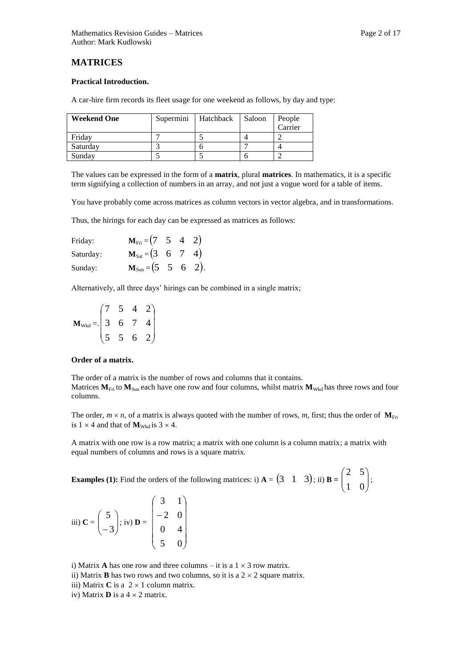## **MATRICES**

#### **Practical Introduction.**

A car-hire firm records its fleet usage for one weekend as follows, by day and type:

| <b>Weekend One</b> | Supermini | Hatchback | Saloon | People<br>Carrier |
|--------------------|-----------|-----------|--------|-------------------|
| Friday             |           |           |        |                   |
| Saturday           |           |           |        |                   |
| Sunday             |           |           |        |                   |

The values can be expressed in the form of a **matrix**, plural **matrices**. In mathematics, it is a specific term signifying a collection of numbers in an array, and not just a vogue word for a table of items.

You have probably come across matrices as column vectors in vector algebra, and in transformations.

Thus, the hirings for each day can be expressed as matrices as follows:

| Friday:   | $M_{\text{Fri}} = (7 \quad 5 \quad 4 \quad 2)$ |  |  |
|-----------|------------------------------------------------|--|--|
| Saturday: | $M_{\text{Sat}} = (3 \ 6 \ 7 \ 4)$             |  |  |
| Sunday:   | $M_{Sun} = (5 \t 5 \t 6 \t 2).$                |  |  |

Alternatively, all three days' hirings can be combined in a single matrix;

|               |                | 5 |                |  |
|---------------|----------------|---|----------------|--|
| $M_{Wkd} =$ . | $\overline{3}$ | 6 | $\overline{7}$ |  |
|               |                | 5 |                |  |

#### **Order of a matrix.**

The order of a matrix is the number of rows and columns that it contains. Matrices  $M_{\text{Fri}}$  to  $M_{\text{Sun}}$  each have one row and four columns, whilst matrix  $M_{\text{Wkd}}$  has three rows and four columns.

The order,  $m \times n$ , of a matrix is always quoted with the number of rows,  $m$ , first; thus the order of  $M_{\text{Fri}}$ is  $1 \times 4$  and that of  $M_{Wkd}$  is  $3 \times 4$ .

A matrix with one row is a row matrix; a matrix with one column is a column matrix; a matrix with equal numbers of columns and rows is a square matrix.

**Examples** (1): Find the orders of the following matrices: i)  $A = \begin{pmatrix} 3 & 1 & 3 \end{pmatrix}$ ; ii)  $B = \begin{pmatrix} 2 & 3 \ 1 & 0 \end{pmatrix}$  $\bigg)$  $\setminus$  $\overline{\phantom{a}}$  $\overline{\mathcal{L}}$ ſ 1 0 2 5 ;



i) Matrix **A** has one row and three columns – it is a  $1 \times 3$  row matrix.

ii) Matrix **B** has two rows and two columns, so it is a  $2 \times 2$  square matrix.

iii) Matrix  $C$  is a  $2 \times 1$  column matrix.

iv) Matrix  $\bf{D}$  is a  $4 \times 2$  matrix.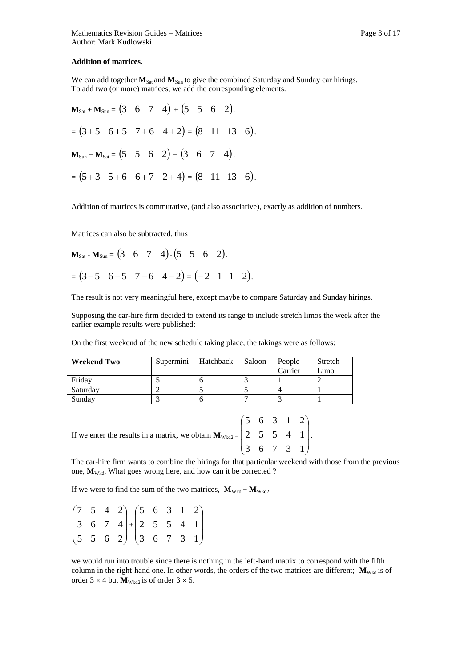#### **Addition of matrices.**

We can add together  $M_{\text{Sat}}$  and  $M_{\text{Sun}}$  to give the combined Saturday and Sunday car hirings. To add two (or more) matrices, we add the corresponding elements.

$$
\mathbf{M}_{\text{Sat}} + \mathbf{M}_{\text{Sun}} = \begin{pmatrix} 3 & 6 & 7 & 4 \end{pmatrix} + \begin{pmatrix} 5 & 5 & 6 & 2 \end{pmatrix}.
$$
  
=  $(3+5 \ 6+5 \ 7+6 \ 4+2) = (8 \ 11 \ 13 \ 6).$   

$$
\mathbf{M}_{\text{Sun}} + \mathbf{M}_{\text{Sat}} = \begin{pmatrix} 5 & 5 & 6 & 2 \end{pmatrix} + \begin{pmatrix} 3 & 6 & 7 & 4 \end{pmatrix}.
$$
  
=  $(5+3 \ 5+6 \ 6+7 \ 2+4) = (8 \ 11 \ 13 \ 6).$ 

Addition of matrices is commutative, (and also associative), exactly as addition of numbers.

Matrices can also be subtracted, thus

$$
\mathbf{M}_{\text{Sat}} - \mathbf{M}_{\text{Sun}} = \begin{pmatrix} 3 & 6 & 7 & 4 \end{pmatrix} \cdot \begin{pmatrix} 5 & 5 & 6 & 2 \end{pmatrix}.
$$
  
=  $(3-5 \ 6-5 \ 7-6 \ 4-2) = (-2 \ 1 \ 1 \ 2).$ 

The result is not very meaningful here, except maybe to compare Saturday and Sunday hirings.

Supposing the car-hire firm decided to extend its range to include stretch limos the week after the earlier example results were published:

On the first weekend of the new schedule taking place, the takings were as follows:

| <b>Weekend Two</b> | Supermini | Hatchback | Saloon | People<br>Carrier | Stretch<br>Limo |
|--------------------|-----------|-----------|--------|-------------------|-----------------|
| Fridav             |           |           |        |                   |                 |
| Saturday           |           |           |        |                   |                 |
| Sunday             |           |           |        |                   |                 |

If we enter the results in a matrix, we obtain  $M_{Wkd2} =$  $\overline{\phantom{a}}$  $\overline{\phantom{a}}$  $\overline{\phantom{a}}$ J  $\setminus$  $\mathsf{I}$  $\mathsf{I}$  $\mathsf{I}$  $\setminus$ ſ 3 6 7 3 1 2 5 5 4 1 5 6 3 1 2 .

The car-hire firm wants to combine the hirings for that particular weekend with those from the previous one,  $M_{\text{Wkd}}$ . What goes wrong here, and how can it be corrected ?

If we were to find the sum of the two matrices,  $\mathbf{M}_{\text{Wkd}} + \mathbf{M}_{\text{Wkd2}}$ 

|  | $\begin{pmatrix} 7 & 5 & 4 & 2 \\ 3 & 6 & 7 & 4 \end{pmatrix} + \begin{pmatrix} 5 & 6 & 3 & 1 & 2 \\ 2 & 5 & 5 & 4 & 1 \end{pmatrix}$ |  |  |  |
|--|---------------------------------------------------------------------------------------------------------------------------------------|--|--|--|
|  | $\begin{pmatrix} 5 & 5 & 6 & 2 \end{pmatrix} \begin{pmatrix} 3 & 6 & 7 & 3 & 1 \end{pmatrix}$                                         |  |  |  |

we would run into trouble since there is nothing in the left-hand matrix to correspond with the fifth column in the right-hand one. In other words, the orders of the two matrices are different;  $\mathbf{M}_{\text{Wkd}}$  is of order  $3 \times 4$  but  $M_{Wkd2}$  is of order  $3 \times 5$ .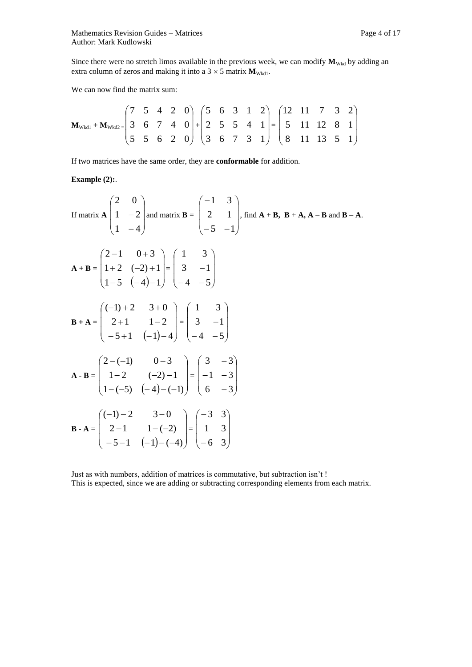Since there were no stretch limos available in the previous week, we can modify  $M_{Wkd}$  by adding an extra column of zeros and making it into a  $3 \times 5$  matrix  $M_{\text{Wkd1}}$ .

We can now find the matrix sum:

$$
\mathbf{M}_{\text{Wkd1}} + \mathbf{M}_{\text{Wkd2}} = \begin{pmatrix} 7 & 5 & 4 & 2 & 0 \\ 3 & 6 & 7 & 4 & 0 \\ 5 & 5 & 6 & 2 & 0 \end{pmatrix} + \begin{pmatrix} 5 & 6 & 3 & 1 & 2 \\ 2 & 5 & 5 & 4 & 1 \\ 3 & 6 & 7 & 3 & 1 \end{pmatrix} = \begin{pmatrix} 12 & 11 & 7 & 3 & 2 \\ 5 & 11 & 12 & 8 & 1 \\ 8 & 11 & 13 & 5 & 1 \end{pmatrix}
$$

If two matrices have the same order, they are **conformable** for addition.

## **Example (2):**.

If matrix 
$$
A \begin{pmatrix} 2 & 0 \ 1 & -2 \ 1 & -4 \end{pmatrix}
$$
 and matrix  $B = \begin{pmatrix} -1 & 3 \ 2 & 1 \ -5 & -1 \end{pmatrix}$ , find  $A + B$ ,  $B + A$ ,  $A - B$  and  $B - A$ .  
\n
$$
A + B = \begin{pmatrix} 2 - 1 & 0 + 3 \ 1 + 2 & (-2) + 1 \ 1 - 5 & (-4) - 1 \end{pmatrix} = \begin{pmatrix} 1 & 3 \ 3 & -1 \ -4 & -5 \end{pmatrix}
$$
\n
$$
B + A = \begin{pmatrix} (-1) + 2 & 3 + 0 \ 2 + 1 & 1 - 2 \ -5 + 1 & (-1) - 4 \end{pmatrix} = \begin{pmatrix} 1 & 3 \ 3 & -1 \ -4 & -5 \end{pmatrix}
$$
\n
$$
A - B = \begin{pmatrix} 2 - (-1) & 0 - 3 \ 1 - 2 & (-2) - 1 \ 1 - (-5) & (-4) - (-1) \end{pmatrix} = \begin{pmatrix} 3 & -3 \ -1 & -3 \ 6 & -3 \end{pmatrix}
$$
\n
$$
B - A = \begin{pmatrix} (-1) - 2 & 3 - 0 \ 2 - 1 & 1 - (-2) \ -5 - 1 & (-1) - (-4) \end{pmatrix} = \begin{pmatrix} -3 & 3 \ 1 & 3 \ -6 & 3 \end{pmatrix}
$$

Just as with numbers, addition of matrices is commutative, but subtraction isn't ! This is expected, since we are adding or subtracting corresponding elements from each matrix.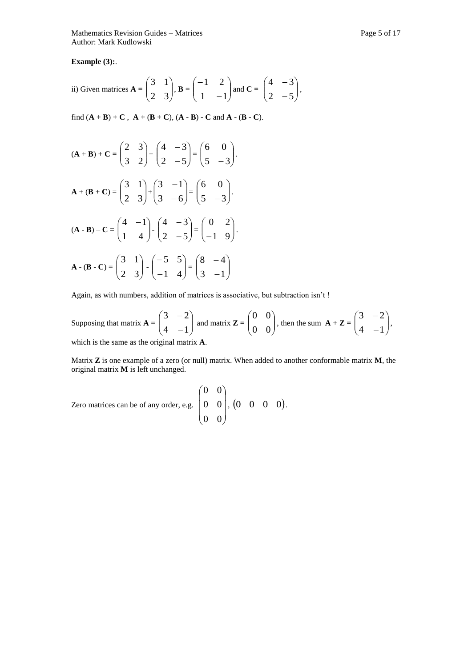Mathematics Revision Guides – Matrices **Page 1** and the page 5 of 17 Author: Mark Kudlowski

**Example (3):**.

ii) Given matrices 
$$
\mathbf{A} = \begin{pmatrix} 3 & 1 \\ 2 & 3 \end{pmatrix}
$$
,  $\mathbf{B} = \begin{pmatrix} -1 & 2 \\ 1 & -1 \end{pmatrix}$  and  $\mathbf{C} = \begin{pmatrix} 4 & -3 \\ 2 & -5 \end{pmatrix}$ ,

find  $(A + B) + C$ ,  $A + (B + C)$ ,  $(A - B) - C$  and  $A - (B - C)$ .

$$
(\mathbf{A} + \mathbf{B}) + \mathbf{C} = \begin{pmatrix} 2 & 3 \\ 3 & 2 \end{pmatrix} + \begin{pmatrix} 4 & -3 \\ 2 & -5 \end{pmatrix} = \begin{pmatrix} 6 & 0 \\ 5 & -3 \end{pmatrix}.
$$
  
\n
$$
\mathbf{A} + (\mathbf{B} + \mathbf{C}) = \begin{pmatrix} 3 & 1 \\ 2 & 3 \end{pmatrix} + \begin{pmatrix} 3 & -1 \\ 3 & -6 \end{pmatrix} = \begin{pmatrix} 6 & 0 \\ 5 & -3 \end{pmatrix}.
$$
  
\n
$$
(\mathbf{A} - \mathbf{B}) - \mathbf{C} = \begin{pmatrix} 4 & -1 \\ 1 & 4 \end{pmatrix} - \begin{pmatrix} 4 & -3 \\ 2 & -5 \end{pmatrix} = \begin{pmatrix} 0 & 2 \\ -1 & 9 \end{pmatrix}.
$$
  
\n
$$
\mathbf{A} - (\mathbf{B} - \mathbf{C}) = \begin{pmatrix} 3 & 1 \\ 2 & 3 \end{pmatrix} - \begin{pmatrix} -5 & 5 \\ -1 & 4 \end{pmatrix} = \begin{pmatrix} 8 & -4 \\ 3 & -1 \end{pmatrix}.
$$

Again, as with numbers, addition of matrices is associative, but subtraction isn't !

Supposing that matrix  $\mathbf{A} = \begin{bmatrix} 5 & 2 \\ 4 & -1 \end{bmatrix}$ J  $\setminus$  $\overline{\phantom{a}}$  $\setminus$ ſ  $\overline{a}$  $\overline{a}$  $4 - 1$  $3 - 2$ and matrix  $\mathbf{Z} = \begin{bmatrix} 0 & 0 \\ 0 & 0 \end{bmatrix}$ J  $\setminus$  $\overline{\phantom{a}}$  $\setminus$ ſ 0 0 0 0 , then the sum  $\mathbf{A} + \mathbf{Z} = \begin{bmatrix} 3 & 2 \\ 4 & -1 \end{bmatrix}$  $\bigg)$  $\setminus$  $\overline{\phantom{a}}$  $\setminus$ ſ  $\overline{a}$  $\overline{a}$  $4 - 1$  $3 - 2$ , which is the same as the original matrix **A**.

Matrix **Z** is one example of a zero (or null) matrix. When added to another conformable matrix **M**, the original matrix **M** is left unchanged.

Zero matrices can be of any order, e.g. 
$$
\begin{pmatrix} 0 & 0 \\ 0 & 0 \\ 0 & 0 \end{pmatrix}
$$
, 
$$
\begin{pmatrix} 0 & 0 & 0 & 0 \end{pmatrix}
$$
.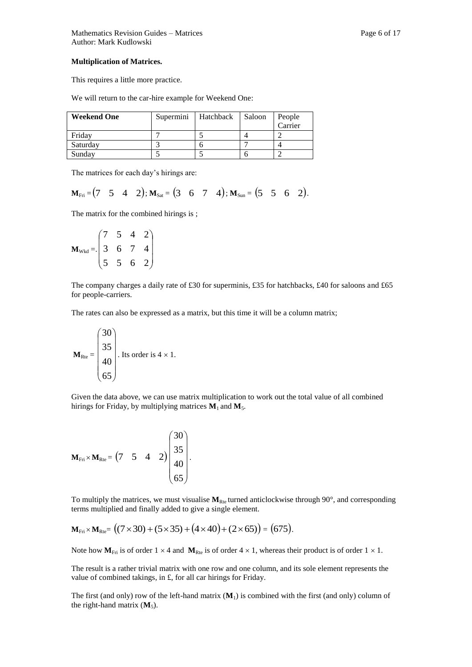#### **Multiplication of Matrices.**

This requires a little more practice.

We will return to the car-hire example for Weekend One:

| <b>Weekend One</b> | Supermini<br>Hatchback |  | Saloon | People  |
|--------------------|------------------------|--|--------|---------|
|                    |                        |  |        | Carrier |
| Friday             |                        |  |        |         |
| Saturday           |                        |  |        |         |
| Sunday             |                        |  |        |         |

The matrices for each day's hirings are:

 $\mathbf{M}_{\text{Fri}} = (7 \quad 5 \quad 4 \quad 2); \mathbf{M}_{\text{Sat}} = (3 \quad 6 \quad 7 \quad 4); \mathbf{M}_{\text{Sun}} = (5 \quad 5 \quad 6 \quad 2).$ 

The matrix for the combined hirings is ;

$$
\mathbf{M}_{\text{Wkd}} = \begin{pmatrix} 7 & 5 & 4 & 2 \\ 3 & 6 & 7 & 4 \\ 5 & 5 & 6 & 2 \end{pmatrix}
$$

The company charges a daily rate of £30 for superminis, £35 for hatchbacks, £40 for saloons and £65 for people-carriers.

The rates can also be expressed as a matrix, but this time it will be a column matrix;

$$
\mathbf{M}_{\text{Rte}} = \begin{pmatrix} 30 \\ 35 \\ 40 \\ 65 \end{pmatrix}.
$$
 Its order is 4 × 1.

Given the data above, we can use matrix multiplication to work out the total value of all combined hirings for Friday, by multiplying matrices  $M_1$  and  $M_5$ .

 $M_{\text{Fri}} \times M_{\text{Rte}} = (7 \quad 5 \quad 4 \quad 2)$  $\overline{\phantom{a}}$  $\overline{\phantom{a}}$  $\overline{\phantom{a}}$  $\overline{\phantom{a}}$ J  $\setminus$  $\overline{\phantom{a}}$  $\mathsf{I}$  $\mathsf{L}$  $\mathsf{I}$  $\setminus$ ſ 65 40 35 30 .

To multiply the matrices, we must visualise  $M_{Rte}$  turned anticlockwise through 90 $^{\circ}$ , and corresponding terms multiplied and finally added to give a single element.

$$
\mathbf{M}_{\text{Fri}} \times \mathbf{M}_{\text{Rte}} = ((7 \times 30) + (5 \times 35) + (4 \times 40) + (2 \times 65)) = (675).
$$

Note how  $M_{\text{Fit}}$  is of order  $1 \times 4$  and  $M_{\text{Rte}}$  is of order  $4 \times 1$ , whereas their product is of order  $1 \times 1$ .

The result is a rather trivial matrix with one row and one column, and its sole element represents the value of combined takings, in £, for all car hirings for Friday.

The first (and only) row of the left-hand matrix (**M**1) is combined with the first (and only) column of the right-hand matrix  $(M_5)$ .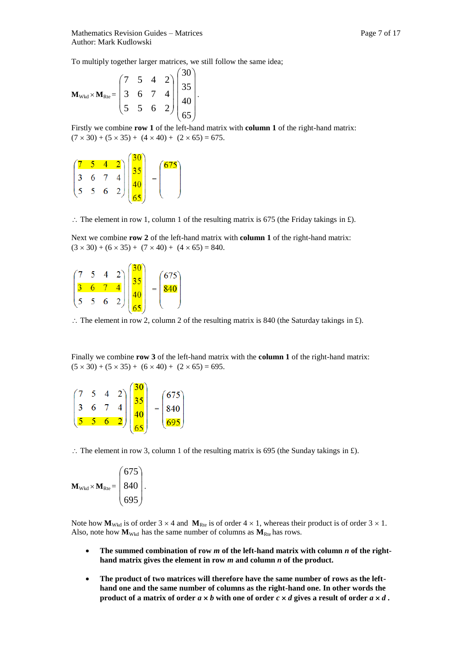To multiply together larger matrices, we still follow the same idea;

$$
\mathbf{M}_{\text{Wkd}} \times \mathbf{M}_{\text{Rte}} = \begin{pmatrix} 7 & 5 & 4 & 2 \\ 3 & 6 & 7 & 4 \\ 5 & 5 & 6 & 2 \end{pmatrix} \begin{pmatrix} 30 \\ 35 \\ 40 \\ 65 \end{pmatrix}.
$$

Firstly we combine **row 1** of the left-hand matrix with **column 1** of the right-hand matrix:  $(7 \times 30) + (5 \times 35) + (4 \times 40) + (2 \times 65) = 675.$ 

$$
\begin{pmatrix} 7 & 5 & 4 & 2 \ 3 & 6 & 7 & 4 \ 5 & 5 & 6 & 2 \ \end{pmatrix} \begin{pmatrix} 30 \\ 35 \\ 40 \\ 65 \end{pmatrix} = \begin{pmatrix} 675 \\ 7 \end{pmatrix}
$$

 $\therefore$  The element in row 1, column 1 of the resulting matrix is 675 (the Friday takings in £).

Next we combine **row 2** of the left-hand matrix with **column 1** of the right-hand matrix:  $(3 \times 30) + (6 \times 35) + (7 \times 40) + (4 \times 65) = 840.$ 



 $\therefore$  The element in row 2, column 2 of the resulting matrix is 840 (the Saturday takings in £).

Finally we combine **row 3** of the left-hand matrix with the **column 1** of the right-hand matrix:  $(5 \times 30) + (5 \times 35) + (6 \times 40) + (2 \times 65) = 695.$ 

|  | $\overline{6}$ | $ 2\rangle$    |  | $\begin{pmatrix} 675 \\ 840 \\ 695 \end{pmatrix}$ |  |
|--|----------------|----------------|--|---------------------------------------------------|--|
|  |                | $\overline{2}$ |  |                                                   |  |

 $\therefore$  The element in row 3, column 1 of the resulting matrix is 695 (the Sunday takings in £).

$$
\mathbf{M}_{\text{Wkd}} \times \mathbf{M}_{\text{Rte}} = \begin{pmatrix} 675 \\ 840 \\ 695 \end{pmatrix}.
$$

Note how  $M_{Wkd}$  is of order 3  $\times$  4 and  $M_{Rte}$  is of order 4  $\times$  1, whereas their product is of order 3  $\times$  1. Also, note how  $M_{Wkd}$  has the same number of columns as  $M_{Rte}$  has rows.

- **The summed combination of row** *m* **of the left-hand matrix with column** *n* **of the righthand matrix gives the element in row** *m* **and column** *n* **of the product.**
- **The product of two matrices will therefore have the same number of rows as the lefthand one and the same number of columns as the right-hand one. In other words the product of a matrix of order**  $a \times b$  with one of order  $c \times d$  gives a result of order  $a \times d$ .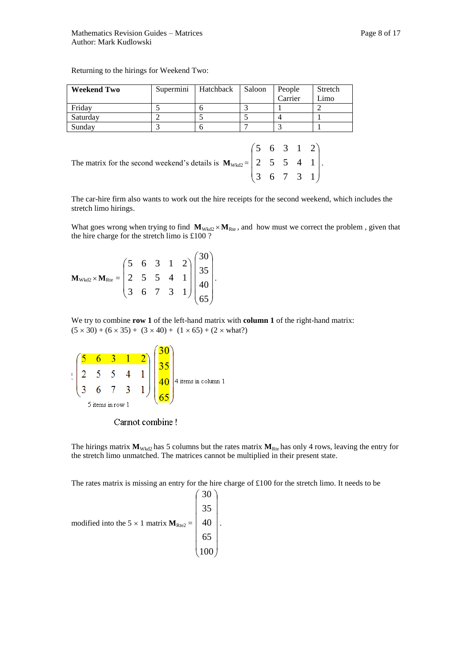Returning to the hirings for Weekend Two:

| <b>Weekend Two</b>                                                                                                                                      | Supermini | Hatchback | Saloon | People  | Stretch                     |
|---------------------------------------------------------------------------------------------------------------------------------------------------------|-----------|-----------|--------|---------|-----------------------------|
|                                                                                                                                                         |           |           |        | Carrier | Limo                        |
| Friday                                                                                                                                                  | 5         | 6         |        |         | $\mathcal{D}_{\mathcal{L}}$ |
| Saturday                                                                                                                                                | 2         |           |        |         |                             |
| Sunday                                                                                                                                                  | 3         | 6         |        | 3       |                             |
| The matrix for the second weekend's details is $M_{Wkd2} = \begin{pmatrix} 5 & 6 & 3 & 1 & 2 \\ 2 & 5 & 5 & 4 & 1 \\ 3 & 6 & 7 & 3 & 1 \end{pmatrix}$ . |           |           |        |         |                             |

The car-hire firm also wants to work out the hire receipts for the second weekend, which includes the stretch limo hirings.

What goes wrong when trying to find  $M_{Wkd2} \times M_{Rte}$ , and how must we correct the problem , given that the hire charge for the stretch limo is £100 ?

 $M_{\text{Wkd2}} \times M_{\text{Rte}} =$  $\overline{\phantom{a}}$  $\overline{\phantom{a}}$ I J  $\setminus$  $\mathsf{I}$  $\mathsf{I}$  $\mathsf{I}$  $\setminus$ ſ 3 6 7 3 1 2 5 5 4 1 5 6 3 1 2  $\overline{\phantom{a}}$  $\overline{\phantom{a}}$  $\overline{\phantom{a}}$ J J  $\setminus$  $\overline{\phantom{a}}$  $\mathsf{I}$  $\mathbf{I}$  $\mathsf{I}$  $\setminus$ ſ 65 40 35 30 .

We try to combine **row 1** of the left-hand matrix with **column 1** of the right-hand matrix:  $(5 \times 30) + (6 \times 35) + (3 \times 40) + (1 \times 65) + (2 \times what?)$ 



Cannot combine!

The hirings matrix  $M_{Wkd2}$  has 5 columns but the rates matrix  $M_{Rte}$  has only 4 rows, leaving the entry for the stretch limo unmatched. The matrices cannot be multiplied in their present state.

The rates matrix is missing an entry for the hire charge of £100 for the stretch limo. It needs to be

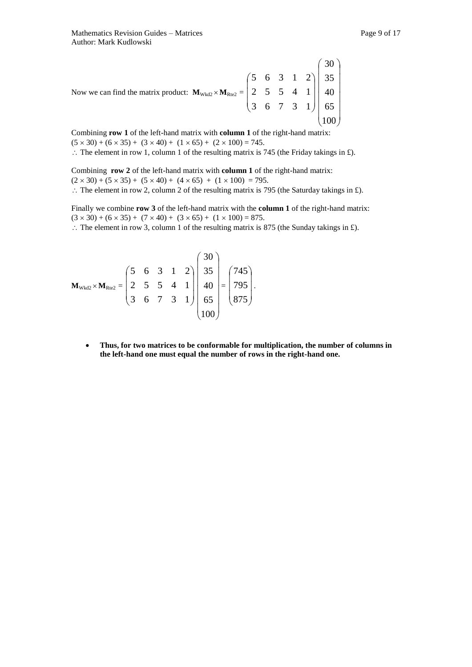Now we can find the matrix product: 
$$
M_{\text{Wkd2}} \times M_{\text{Re2}} = \begin{pmatrix} 5 & 6 & 3 & 1 & 2 \\ 2 & 5 & 5 & 4 & 1 \\ 3 & 6 & 7 & 3 & 1 \end{pmatrix} \begin{pmatrix} 30 \\ 35 \\ 40 \\ 65 \\ 100 \end{pmatrix}
$$

Combining **row 1** of the left-hand matrix with **column 1** of the right-hand matrix:  $(5 \times 30) + (6 \times 35) + (3 \times 40) + (1 \times 65) + (2 \times 100) = 745.$ 

 $\therefore$  The element in row 1, column 1 of the resulting matrix is 745 (the Friday takings in £).

Combining **row 2** of the left-hand matrix with **column 1** of the right-hand matrix:  $(2 \times 30) + (5 \times 35) + (5 \times 40) + (4 \times 65) + (1 \times 100) = 795.$  $\therefore$  The element in row 2, column 2 of the resulting matrix is 795 (the Saturday takings in £).

Finally we combine **row 3** of the left-hand matrix with the **column 1** of the right-hand matrix:  $(3 \times 30) + (6 \times 35) + (7 \times 40) + (3 \times 65) + (1 \times 100) = 875.$ 

 $\therefore$  The element in row 3, column 1 of the resulting matrix is 875 (the Sunday takings in £).

$$
\mathbf{M}_{\text{Wkd2}} \times \mathbf{M}_{\text{Rte2}} = \begin{pmatrix} 5 & 6 & 3 & 1 & 2 \\ 2 & 5 & 5 & 4 & 1 \\ 3 & 6 & 7 & 3 & 1 \end{pmatrix} \begin{pmatrix} 30 \\ 35 \\ 40 \\ 65 \\ 100 \end{pmatrix} = \begin{pmatrix} 745 \\ 795 \\ 875 \end{pmatrix}.
$$

 **Thus, for two matrices to be conformable for multiplication, the number of columns in the left-hand one must equal the number of rows in the right-hand one.**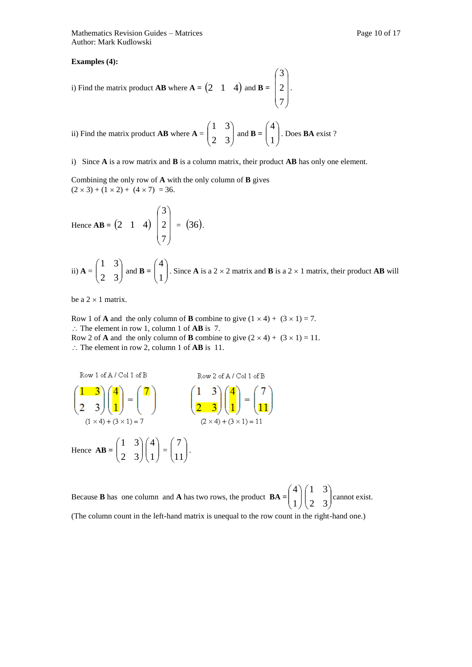#### **Examples (4):**

i) Find the matrix product **AB** where  $A = \begin{pmatrix} 2 & 1 & 4 \end{pmatrix}$  and **B** =  $\overline{\phantom{a}}$  $\overline{\phantom{a}}$  $\overline{\phantom{a}}$ J  $\setminus$  $\mathsf{I}$  $\mathsf{I}$  $\mathsf{I}$  $\setminus$ ſ 7 2 3 .

ii) Find the matrix product **AB** where 
$$
\mathbf{A} = \begin{pmatrix} 1 & 3 \\ 2 & 3 \end{pmatrix}
$$
 and  $\mathbf{B} = \begin{pmatrix} 4 \\ 1 \end{pmatrix}$ . Does **BA** exist?

i) Since **A** is a row matrix and **B** is a column matrix, their product **AB** has only one element.

Combining the only row of **A** with the only column of **B** gives  $(2 \times 3) + (1 \times 2) + (4 \times 7) = 36.$ 

Hence **AB** = (2 1 4) 
$$
\begin{pmatrix} 3 \\ 2 \\ 7 \end{pmatrix}
$$
 = (36).

ii) 
$$
\mathbf{A} = \begin{pmatrix} 1 & 3 \\ 2 & 3 \end{pmatrix}
$$
 and  $\mathbf{B} = \begin{pmatrix} 4 \\ 1 \end{pmatrix}$ . Since **A** is a 2 × 2 matrix and **B** is a 2 × 1 matrix, their product **AB** will

be a  $2 \times 1$  matrix.

Row 1 of **A** and the only column of **B** combine to give  $(1 \times 4) + (3 \times 1) = 7$ . ∴ The element in row 1, column 1 of **AB** is 7. Row 2 of **A** and the only column of **B** combine to give  $(2 \times 4) + (3 \times 1) = 11$ .  $\therefore$  The element in row 2, column 1 of **AB** is 11.

Row 1 of A/Col 1 of B  
\n
$$
\begin{pmatrix}\n1 & 3 \\
2 & 3\n\end{pmatrix}\n\begin{pmatrix}\n4 \\
1\n\end{pmatrix} =\n\begin{pmatrix}\n7 \\
1\n\end{pmatrix}
$$
\n
$$
\begin{pmatrix}\n1 & 3 \\
2 & 3\n\end{pmatrix}\n\begin{pmatrix}\n4 \\
1\n\end{pmatrix} =\n\begin{pmatrix}\n7 \\
2\n\end{pmatrix}
$$
\nHence AB = 
$$
\begin{pmatrix}\n1 & 3 \\
2 & 3\n\end{pmatrix}\n\begin{pmatrix}\n4 \\
1\n\end{pmatrix} =\n\begin{pmatrix}\n7 \\
2\n\end{pmatrix}
$$
\n
$$
\begin{pmatrix}\n2 \times 4 \end{pmatrix} + (3 \times 1) = 11
$$
\n
$$
\begin{pmatrix}\n1 & 3 \\
2 & 3\n\end{pmatrix}\n\begin{pmatrix}\n4 \\
1\n\end{pmatrix} =\n\begin{pmatrix}\n7 \\
11\n\end{pmatrix}.
$$

Because **B** has one column and **A** has two rows, the product  $\mathbf{BA} = \begin{bmatrix} 1 \\ 1 \end{bmatrix}$ J  $\setminus$  $\overline{\phantom{a}}$  $\setminus$ ſ 1 4  $\overline{\phantom{a}}$  $\bigg)$  $\setminus$  $\overline{\phantom{a}}$  $\setminus$ ſ 2 3 1 3 cannot exist. (The column count in the left-hand matrix is unequal to the row count in the right-hand one.)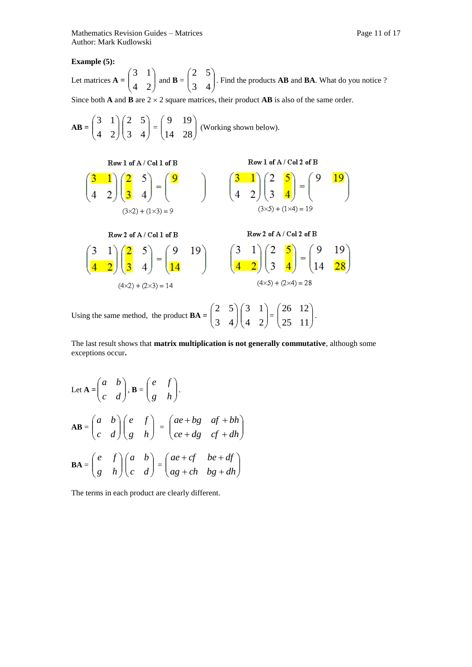**Example (5):** 

Let matrices 
$$
A = \begin{pmatrix} 3 & 1 \\ 4 & 2 \end{pmatrix}
$$
 and  $B = \begin{pmatrix} 2 & 5 \\ 3 & 4 \end{pmatrix}$ . Find the products **AB** and **BA**. What do you notice ?

Since both **A** and **B** are  $2 \times 2$  square matrices, their product **AB** is also of the same order.

$$
AB = \begin{pmatrix} 3 & 1 \\ 4 & 2 \end{pmatrix} \begin{pmatrix} 2 & 5 \\ 3 & 4 \end{pmatrix} = \begin{pmatrix} 9 & 19 \\ 14 & 28 \end{pmatrix}
$$
 (Working shown below).  
\nRow 1 of A / Col 1 of B  
\n
$$
\begin{pmatrix} 3 & 1 \\ 4 & 2 \end{pmatrix} \begin{pmatrix} 2 & 5 \\ 3 & 4 \end{pmatrix} = \begin{pmatrix} 9 \\ 1 & 3 \end{pmatrix}
$$
\n
$$
\begin{pmatrix} 3 & 1 \\ 4 & 2 \end{pmatrix} \begin{pmatrix} 2 & 5 \\ 3 & 4 \end{pmatrix} = \begin{pmatrix} 9 & 19 \\ 4 & 2 \end{pmatrix}
$$
\n
$$
\begin{pmatrix} 3 & 1 \\ 3 \times 5 \end{pmatrix} \begin{pmatrix} 2 & 5 \\ 3 & 4 \end{pmatrix} = \begin{pmatrix} 9 & 19 \\ 14 & 2 \end{pmatrix}
$$
\n
$$
\begin{pmatrix} 3 & 1 \\ 4 & 2 \end{pmatrix} \begin{pmatrix} 2 & 5 \\ 3 & 4 \end{pmatrix} = \begin{pmatrix} 9 & 19 \\ 14 & 2 \end{pmatrix}
$$
\n
$$
\begin{pmatrix} 3 & 1 \\ 4 & 2 \end{pmatrix} \begin{pmatrix} 2 & 5 \\ 3 & 4 \end{pmatrix} = \begin{pmatrix} 9 & 19 \\ 14 & 2 \end{pmatrix}
$$
\n
$$
\begin{pmatrix} 3 & 1 \\ 4 & 2 \end{pmatrix} \begin{pmatrix} 2 & 5 \\ 3 & 4 \end{pmatrix} = \begin{pmatrix} 9 & 19 \\ 14 & 28 \end{pmatrix}
$$
\n
$$
\begin{pmatrix} 4 \times 5 \end{pmatrix} + (2 \times 4) = 28
$$
\nUsing the same method, the product  $BA = \begin{pmatrix} 2 & 5 \\ 3 & 4 \end{pmatrix} \begin{pmatrix} 3 & 1 \\ 4 & 2 \end{pmatrix} = \begin{pmatrix} 26 & 12 \\ 25 & 11 \end{pmatrix}.$ 

The last result shows that **matrix multiplication is not generally commutative**, although some exceptions occur**.**

Let 
$$
\mathbf{A} = \begin{pmatrix} a & b \\ c & d \end{pmatrix}, \mathbf{B} = \begin{pmatrix} e & f \\ g & h \end{pmatrix}.
$$
  
\n
$$
\mathbf{AB} = \begin{pmatrix} a & b \\ c & d \end{pmatrix} \begin{pmatrix} e & f \\ g & h \end{pmatrix} = \begin{pmatrix} ae+bg & af+bh \\ ce+dg & cf+dh \end{pmatrix}
$$
\n
$$
\mathbf{BA} = \begin{pmatrix} e & f \\ g & h \end{pmatrix} \begin{pmatrix} a & b \\ c & d \end{pmatrix} = \begin{pmatrix} ae+cf & be+df \\ ag+ch & bg+dh \end{pmatrix}
$$

The terms in each product are clearly different.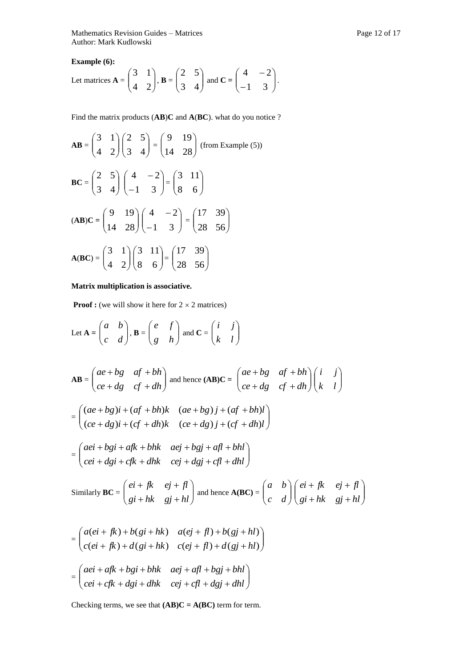Mathematics Revision Guides – Matrices Page 12 of 17 Author: Mark Kudlowski

**Example (6):** 

Let matrices 
$$
A = \begin{pmatrix} 3 & 1 \\ 4 & 2 \end{pmatrix}
$$
,  $B = \begin{pmatrix} 2 & 5 \\ 3 & 4 \end{pmatrix}$  and  $C = \begin{pmatrix} 4 & -2 \\ -1 & 3 \end{pmatrix}$ .

Find the matrix products (**AB**)**C** and **A**(**BC**). what do you notice ?

$$
\mathbf{AB} = \begin{pmatrix} 3 & 1 \\ 4 & 2 \end{pmatrix} \begin{pmatrix} 2 & 5 \\ 3 & 4 \end{pmatrix} = \begin{pmatrix} 9 & 19 \\ 14 & 28 \end{pmatrix} \text{ (from Example (5))}
$$
\n
$$
\mathbf{BC} = \begin{pmatrix} 2 & 5 \\ 3 & 4 \end{pmatrix} \begin{pmatrix} 4 & -2 \\ -1 & 3 \end{pmatrix} = \begin{pmatrix} 3 & 11 \\ 8 & 6 \end{pmatrix}
$$
\n
$$
(\mathbf{AB})\mathbf{C} = \begin{pmatrix} 9 & 19 \\ 14 & 28 \end{pmatrix} \begin{pmatrix} 4 & -2 \\ -1 & 3 \end{pmatrix} = \begin{pmatrix} 17 & 39 \\ 28 & 56 \end{pmatrix}
$$
\n
$$
\mathbf{A}(\mathbf{BC}) = \begin{pmatrix} 3 & 1 \\ 4 & 2 \end{pmatrix} \begin{pmatrix} 3 & 11 \\ 8 & 6 \end{pmatrix} = \begin{pmatrix} 17 & 39 \\ 28 & 56 \end{pmatrix}
$$

### **Matrix multiplication is associative.**

**Proof :** (we will show it here for  $2 \times 2$  matrices)

Let 
$$
\mathbf{A} = \begin{pmatrix} a & b \\ c & d \end{pmatrix}
$$
,  $\mathbf{B} = \begin{pmatrix} e & f \\ g & h \end{pmatrix}$  and  $\mathbf{C} = \begin{pmatrix} i & j \\ k & l \end{pmatrix}$   
\n
$$
\mathbf{AB} = \begin{pmatrix} ae+bg & af+bh \\ ce+dg & cf+dh \end{pmatrix}
$$
 and hence  $(\mathbf{AB})\mathbf{C} = \begin{pmatrix} ae+bg & af+bh \\ ce+dg & cf+dh \end{pmatrix} \begin{pmatrix} i & j \\ k & l \end{pmatrix}$   
\n
$$
= \begin{pmatrix} (ae+bg)i+(af+bh)k & (ae+bg)j+(af+bh)l \\ (ce+dg)i+(cf+dh)k & (ce+dg)j+(cf+dh)l \end{pmatrix}
$$
  
\n
$$
= \begin{pmatrix} aei+bgi+afk+bhk & aej+bgj+afl+bhl \\ cei+dgi+cfk+dhk & cej+dgj+cfl+dhl \end{pmatrix}
$$
  
\nSimilarly  $\mathbf{BC} = \begin{pmatrix} ei+fk & ej+fl \\ gi+hk & gj+hl \end{pmatrix}$  and hence  $\mathbf{A}(\mathbf{BC}) = \begin{pmatrix} a & b \\ c & d \end{pmatrix} \begin{pmatrix} ei+fk & ej+fl \\ gi+hk & gj+hl \end{pmatrix}$   
\n
$$
= \begin{pmatrix} a(ei+fk)+b(gi+hk) & a(ej+f)+b(gj+hl) \\ c(ei+fk)+d(gi+hk) & c(ej+fl)+d(gj+hl) \end{pmatrix}
$$
  
\n
$$
= \begin{pmatrix} aei+afk+bgi+bhk & aej+afl+bgj+bhl \\ cei+cfk+dgi+dhk & cej+cfl+dgj+dhl \end{pmatrix}
$$

Checking terms, we see that **(AB)C = A(BC)** term for term.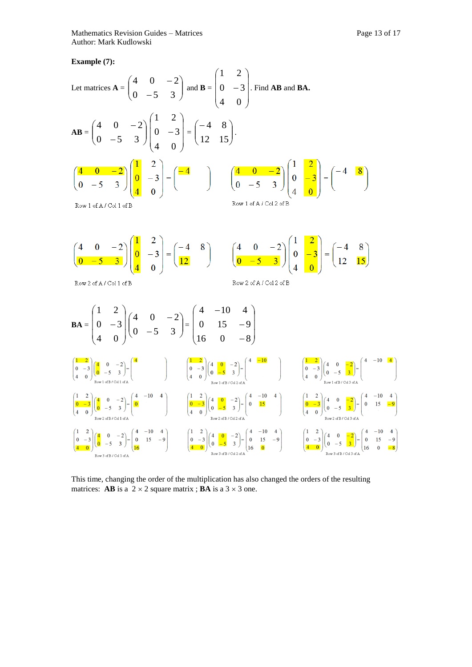**Example (7):**



This time, changing the order of the multiplication has also changed the orders of the resulting matrices: **AB** is a  $2 \times 2$  square matrix ; **BA** is a  $3 \times 3$  one.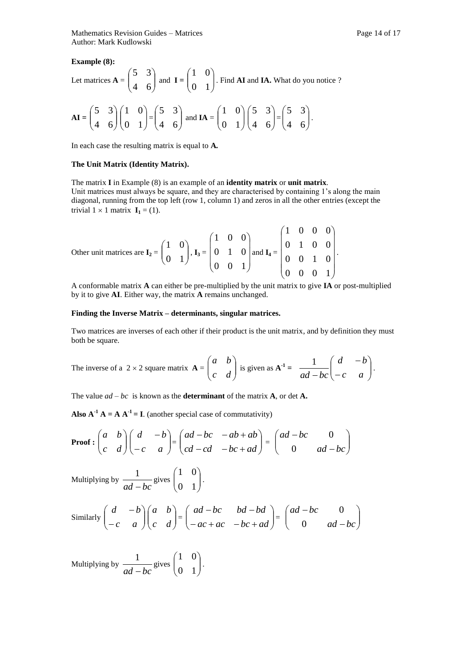**Example (8):**

Let matrices 
$$
\mathbf{A} = \begin{pmatrix} 5 & 3 \\ 4 & 6 \end{pmatrix}
$$
 and  $\mathbf{I} = \begin{pmatrix} 1 & 0 \\ 0 & 1 \end{pmatrix}$ . Find **AI** and **IA**. What do you notice?  
\n
$$
\mathbf{AI} = \begin{pmatrix} 5 & 3 \\ 4 & 6 \end{pmatrix} \begin{pmatrix} 1 & 0 \\ 0 & 1 \end{pmatrix} = \begin{pmatrix} 5 & 3 \\ 4 & 6 \end{pmatrix}
$$
 and  $\mathbf{IA} = \begin{pmatrix} 1 & 0 \\ 0 & 1 \end{pmatrix} \begin{pmatrix} 5 & 3 \\ 4 & 6 \end{pmatrix} = \begin{pmatrix} 5 & 3 \\ 4 & 6 \end{pmatrix}$ .

In each case the resulting matrix is equal to **A***.*

#### **The Unit Matrix (Identity Matrix).**

The matrix **I** in Example (8) is an example of an **identity matrix** or **unit matrix**. Unit matrices must always be square, and they are characterised by containing 1's along the main diagonal, running from the top left (row 1, column 1) and zeros in all the other entries (except the trivial  $1 \times 1$  matrix  $I_1 = (1)$ .

Other unit matrices are 
$$
I_2 = \begin{pmatrix} 1 & 0 \ 0 & 1 \end{pmatrix}
$$
,  $I_3 = \begin{pmatrix} 1 & 0 & 0 \ 0 & 1 & 0 \ 0 & 0 & 1 \end{pmatrix}$  and  $I_4 = \begin{pmatrix} 1 & 0 & 0 & 0 \ 0 & 1 & 0 & 0 \ 0 & 0 & 1 & 0 \ 0 & 0 & 0 & 1 \end{pmatrix}$ .

A conformable matrix **A** can either be pre-multiplied by the unit matrix to give **IA** or post-multiplied by it to give **AI**. Either way, the matrix **A** remains unchanged.

#### **Finding the Inverse Matrix – determinants, singular matrices.**

Two matrices are inverses of each other if their product is the unit matrix, and by definition they must both be square.

The inverse of a 2 × 2 square matrix 
$$
\mathbf{A} = \begin{pmatrix} a & b \\ c & d \end{pmatrix}
$$
 is given as  $\mathbf{A}^{-1} = \frac{1}{ad - bc} \begin{pmatrix} d & -b \\ -c & a \end{pmatrix}$ .

The value  $ad - bc$  is known as the **determinant** of the matrix **A**, or det **A**.

**Also**  $A^{-1}A = A A^{-1} = I$ **. (another special case of commutativity)** 

**Proof :** 
$$
\begin{pmatrix} a & b \\ c & d \end{pmatrix} \begin{pmatrix} d & -b \\ -c & a \end{pmatrix} = \begin{pmatrix} ad - bc & -ab + ab \\ cd - cd & -bc + ad \end{pmatrix} = \begin{pmatrix} ad - bc & 0 \\ 0 & ad - bc \end{pmatrix}
$$

Multiplying by  $\frac{1}{ad - bc}$  $\frac{1}{-bc}$  gives  $\begin{pmatrix} 1 & 0 \\ 0 & 1 \end{pmatrix}$ J  $\setminus$  $\overline{\phantom{a}}$  $\setminus$ ſ 0 1 1 0 .

Similarly 
$$
\begin{pmatrix} d & -b \\ -c & a \end{pmatrix} \begin{pmatrix} a & b \\ c & d \end{pmatrix} = \begin{pmatrix} ad-bc & bd-bd \\ -ac+ac & -bc+ad \end{pmatrix} = \begin{pmatrix} ad-bc & 0 \\ 0 & ad-bc \end{pmatrix}
$$

Multiplying by  $\frac{1}{ad - bc}$  $\frac{1}{-bc}$  gives  $\begin{pmatrix} 1 & 0 \\ 0 & 1 \end{pmatrix}$ J  $\setminus$  $\overline{\phantom{a}}$  $\setminus$ ſ 0 1 1 0 .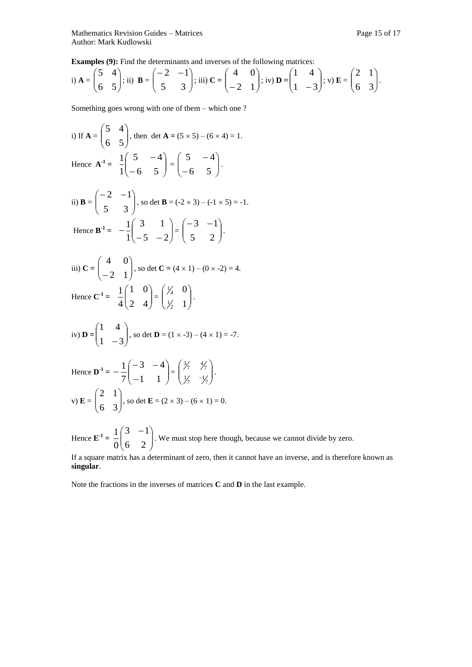**Examples** (9): Find the determinants and inverses of the following matrices:

i) 
$$
\mathbf{A} = \begin{pmatrix} 5 & 4 \\ 6 & 5 \end{pmatrix}
$$
; ii)  $\mathbf{B} = \begin{pmatrix} -2 & -1 \\ 5 & 3 \end{pmatrix}$ ; iii)  $\mathbf{C} = \begin{pmatrix} 4 & 0 \\ -2 & 1 \end{pmatrix}$ ; iv)  $\mathbf{D} = \begin{pmatrix} 1 & 4 \\ 1 & -3 \end{pmatrix}$ ; v)  $\mathbf{E} = \begin{pmatrix} 2 & 1 \\ 6 & 3 \end{pmatrix}$ .

Something goes wrong with one of them – which one ?

i) If 
$$
A = \begin{pmatrix} 5 & 4 \ 6 & 5 \end{pmatrix}
$$
, then det  $A = (5 \times 5) - (6 \times 4) = 1$ .  
\nHence  $A^{-1} = \frac{1}{1} \begin{pmatrix} 5 & -4 \ -6 & 5 \end{pmatrix} = \begin{pmatrix} 5 & -4 \ -6 & 5 \end{pmatrix}$ .

ii) **B** = 
$$
\begin{pmatrix} -2 & -1 \\ 5 & 3 \end{pmatrix}
$$
, so det **B** = (-2 × 3) - (-1 × 5) = -1.  
\nHence **B**<sup>-1</sup> =  $-\frac{1}{1}\begin{pmatrix} 3 & 1 \\ -5 & -2 \end{pmatrix} = \begin{pmatrix} -3 & -1 \\ 5 & 2 \end{pmatrix}$ .

iii) 
$$
C = \begin{pmatrix} 4 & 0 \\ -2 & 1 \end{pmatrix}
$$
, so det  $C = (4 \times 1) - (0 \times -2) = 4$ .  
\nHence  $C^{-1} = \frac{1}{4} \begin{pmatrix} 1 & 0 \\ 2 & 4 \end{pmatrix} = \begin{pmatrix} \frac{1}{4} & 0 \\ \frac{1}{2} & 1 \end{pmatrix}$ .

iv) **D** = 
$$
\begin{pmatrix} 1 & 4 \\ 1 & -3 \end{pmatrix}
$$
, so det **D** = (1 x -3) – (4 x 1) = -7.

Hence 
$$
\mathbf{D}^{-1} = -\frac{1}{7} \begin{pmatrix} -3 & -4 \\ -1 & 1 \end{pmatrix} = \begin{pmatrix} 3/7 & 4/7 \\ 1/7 & -1/7 \end{pmatrix}
$$
.  
\nv)  $\mathbf{E} = \begin{pmatrix} 2 & 1 \\ 6 & 3 \end{pmatrix}$ , so det  $\mathbf{E} = (2 \times 3) - (6 \times 1) = 0$ .

Hence  $\mathbf{E}^{-1} = \frac{1}{0} \begin{bmatrix} 5 & 1 \\ 6 & 2 \end{bmatrix}$ J  $\setminus$  $\overline{\phantom{a}}$  $\setminus$  $(3 -$ 6 2  $3 - 1$ 0  $\frac{1}{2} \begin{pmatrix} 3 & -1 \\ 1 & 2 \end{pmatrix}$ . We must stop here though, because we cannot divide by zero.

If a square matrix has a determinant of zero, then it cannot have an inverse, and is therefore known as **singular**.

Note the fractions in the inverses of matrices **C** and **D** in the last example.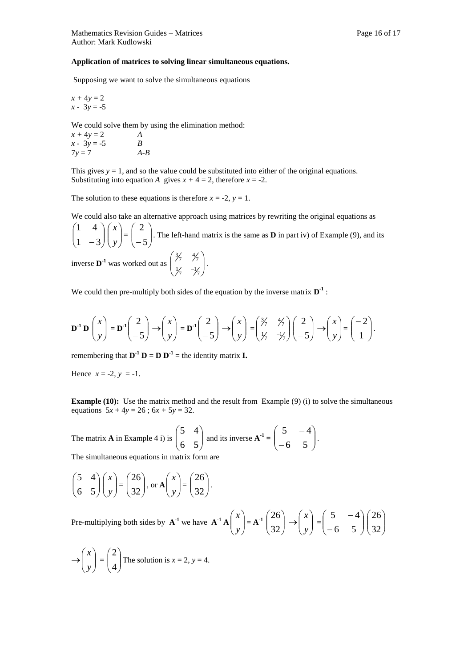Supposing we want to solve the simultaneous equations

$$
x + 4y = 2
$$
  

$$
x - 3y = -5
$$

We could solve them by using the elimination method:

$$
x + 4y = 2
$$
  
\n
$$
x - 3y = -5
$$
  
\n
$$
7y = 7
$$
  
\n
$$
A - B
$$

This gives  $y = 1$ , and so the value could be substituted into either of the original equations. Substituting into equation *A* gives  $x + 4 = 2$ , therefore  $x = -2$ .

The solution to these equations is therefore  $x = -2$ ,  $y = 1$ .

We could also take an alternative approach using matrices by rewriting the original equations as  $\overline{\phantom{a}}$ J  $\setminus$  $\overline{\phantom{a}}$  $\setminus$ ſ  $1 - 3$ 1 4  $\overline{\phantom{a}}$ J  $\setminus$  $\overline{\phantom{a}}$  $\backslash$ ſ *y x*  $=\left[\begin{array}{c} 7 \\ -5 \end{array}\right]$ J  $\setminus$  $\overline{\phantom{a}}$  $\setminus$ ſ  $-5$ 2 . The left-hand matrix is the same as **D** in part iv) of Example (9), and its  $\setminus$ ſ 34 - 34 .

inverse  $\mathbf{D}^{-1}$  was worked out as  $\begin{bmatrix} 77 & 77 \\ 17 & -17 \end{bmatrix}$ J  $\overline{\phantom{a}}$  $\setminus$  $\frac{1}{7}$   $\frac{-1}{7}$ 

We could then pre-multiply both sides of the equation by the inverse matrix  $D^{-1}$ :

$$
\mathbf{D}^{-1} \mathbf{D} \begin{pmatrix} x \\ y \end{pmatrix} = \mathbf{D}^{-1} \begin{pmatrix} 2 \\ -5 \end{pmatrix} \rightarrow \begin{pmatrix} x \\ y \end{pmatrix} = \mathbf{D}^{-1} \begin{pmatrix} 2 \\ -5 \end{pmatrix} \rightarrow \begin{pmatrix} x \\ y \end{pmatrix} = \begin{pmatrix} \frac{3}{7} & \frac{4}{7} \\ \frac{1}{7} & -\frac{1}{7} \end{pmatrix} \begin{pmatrix} 2 \\ -5 \end{pmatrix} \rightarrow \begin{pmatrix} x \\ y \end{pmatrix} = \begin{pmatrix} -2 \\ 1 \end{pmatrix}.
$$

remembering that  $D^{-1} D = D D^{-1}$  = the identity matrix **I**.

Hence  $x = -2$ ,  $y = -1$ .

**Example (10):** Use the matrix method and the result from Example (9) (i) to solve the simultaneous equations  $5x + 4y = 26$ ;  $6x + 5y = 32$ .

The matrix **A** in Example 4 i) is 
$$
\begin{pmatrix} 5 & 4 \ 6 & 5 \end{pmatrix}
$$
 and its inverse  $\mathbf{A}^{-1} = \begin{pmatrix} 5 & -4 \ -6 & 5 \end{pmatrix}$ .

.

The simultaneous equations in matrix form are

$$
\begin{pmatrix} 5 & 4 \ 6 & 5 \end{pmatrix} \begin{pmatrix} x \ y \end{pmatrix} = \begin{pmatrix} 26 \ 32 \end{pmatrix}, \text{ or } A \begin{pmatrix} x \ y \end{pmatrix} = \begin{pmatrix} 26 \ 32 \end{pmatrix}
$$

Pre-multiplying both sides by  $A^{-1}$  we have  $A^{-1}A \begin{bmatrix} x \\ y \end{bmatrix}$ J  $\setminus$  $\overline{\phantom{a}}$  $\setminus$ ſ *y x*  $= A^{-1} \begin{bmatrix} 28 \\ 32 \end{bmatrix}$ J  $\setminus$  $\overline{\phantom{a}}$  $\setminus$ ſ 32 26  $\rightarrow \left\lfloor \frac{\pi}{v} \right\rfloor$ J  $\setminus$  $\overline{\phantom{a}}$  $\setminus$ ſ *y x*  $=\begin{bmatrix} 5 & 1 \\ -6 & 5 \end{bmatrix}$  $\bigg)$  $\setminus$  $\overline{\phantom{a}}$  $\setminus$ ſ  $\overline{a}$  $\overline{a}$ 6 5  $5 - 4$  $\overline{\phantom{a}}$  $\bigg)$  $\setminus$  $\overline{\phantom{a}}$  $\setminus$ ſ 32 26

$$
\rightarrow \begin{pmatrix} x \\ y \end{pmatrix} = \begin{pmatrix} 2 \\ 4 \end{pmatrix}
$$
The solution is  $x = 2$ ,  $y = 4$ .